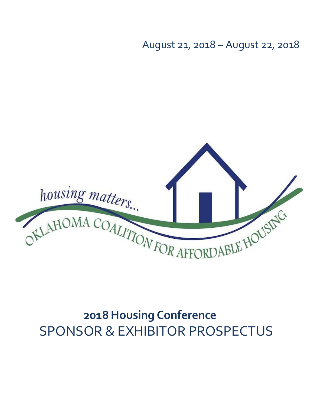August 21, 2018 – August 22, 2018



# **2018 Housing Conference** SPONSOR & EXHIBITOR PROSPECTUS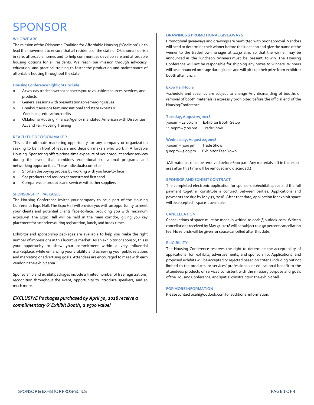# **SPONSOR**

### **WHOWE ARE**

The mission of the Oklahoma Coalition for Affordable Housing ("Coalition") is to lead the movement to ensure that all residents of the state of Oklahoma flourish in safe, affordable homes and to help communities develop safe and affordable housing options for all residents. We reach our mission through advocacy, education, and practical training to foster the production and maintenance of affordable housing throughout the state.

### **HousingConferencehighlightsinclude:**

- o A two-daytradeshowthatconnectsyoutovaluableresources, services,and products
- o General sessionswith presentations onemerging issues
- o Breakout sessions featuring national and state experts o Continuing educationcredits
- o Oklahoma Housing Finance Agency mandated American with Disabilities Act and Fair Housing Training

### **REACHTHEDECISION MAKER**

This is the ultimate marketing opportunity for any company or organization seeking to be in front of leaders and decision makers who work in Affordable Housing. Sponsoring offers prime-time exposure of your product and/or services during the event that combines exceptional educational programs and networking opportunities. These individuals cometo:

- o Shorten thebuying process by working with you face-to- face
- o Seeproducts and servicesdemonstrated firsthand
- o Compare your products and services with other suppliers

### **SPONSORSHIP PACKAGES**

The Housing Conference invites your company to be a part of the Housing Conference Expo Hall. The Expo Hall will provide you with an opportunity to meet your clients and potential clients face-to-face, providing you with maximum exposure! The Expo Hall will be held in the main corridor, giving you key placement for attendees during registration, lunch, and break times.

Exhibitor and sponsorship packages are available to help you make the right number of impressions in this lucrative market. As an exhibitor or sponsor, this is your opportunity to show your commitment within a very influential marketplace, while enhancing your visibility and achieving your public relations and marketing or advertising goals. Attendees are encouraged to meet with each vendorin the exhibit area.

Sponsorship and exhibit packages include a limited number of free registrations, recognition throughout the event, opportunity to introduce speakers, and so much more.

### *EXCLUSIVE Packages purchased by April 30, 2018 receive a complimentary 6' Exhibit Booth, a \$500 value!*

### **DRAWINGS & PROMOTIONALGIVEAWAYS**

Promotional giveaways and drawings are permitted with prior approval. Vendors will need to determine their winner before the luncheon and give the name ofthe winner to the tradeshow manager at 11:30 a.m. so that the winner may be announced in the luncheon. Winners must be present to win. The Housing Conference will not be responsible for shipping any prizes to winners. Winners will be announced on stage during lunch and will pick up their prize from exhibitor booth afterlunch.

### **Expo Hall Hours**

\*schedule and specifics are subject to change Any dismantling of booths or removal of booth materials is expressly prohibited before the official end of the Housing Conference.

### **Tuesday,August 21, 2018**

7:00am - 11:00 pm Exhibitor Booth Setup 11:00pm – 7:00 pm TradeShow

#### **Wednesday,August 22, 2018**

7:00am – 3:00 pm Trade Show 3:00pm – 5:00 pm Exhibitor TearDown

(All materials must be removed before 6:00 p.m. Any materials left in the expo area after this time will be removed and discarded.)

### **SPONSOR AND EXHIBIT CONTRACT**

The completed electronic application for sponsorship/exhibit space and the full payment together constitute a contract between parties. Applications and payments are due by May 31, 2018. After that date, application for exhibit space will be accepted if space is available.

### **CANCELLATION**

Cancellations of space must be made in writing to [ocah@outlook.com.](mailto:ocah@outlook.com) Written cancellations received by May 31, 2018 will be subject to a 50 percent cancellation fee.No refunds will be given for space cancelled after this date.

#### **ELIGIBILITY**

The Housing Conference reserves the right to determine the acceptability of applications for exhibits, advertisements, and sponsorship. Applications and proposed exhibits will be accepted or rejected based on criteria including but not limited to the products' or services' professionals or educational benefit to the attendees; products or services consistent with the mission, purpose and goals of the Housing Conference; and spatial constraints in the exhibit hall.

### **FORMOREINFORMATION**

Please contact ocah@outlook.com for additional information.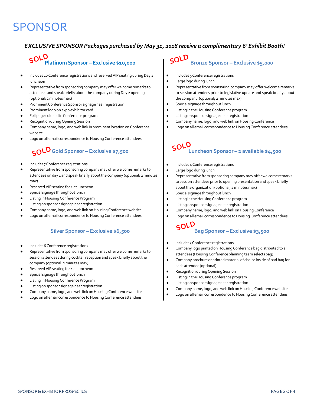# SPONSOR

## *EXCLUSIVE SPONSOR Packages purchased by May 31, 2018 receive a complimentary 6' Exhibit Booth!*

# **Platinum Sponsor – Exclusive \$10,000 SOLD**

- Includes 10 Conference registrations and reserved VIP seating during Day 2 luncheon
- Representative from sponsoring company may offer welcome remarks to attendees and speak briefly aboutthe company during Day 2 opening (optional: 2 minutesmax)
- Prominent Conference Sponsor signage near registration
- Prominent logo on expo exhibitor card
- Full page color ad in Conference program
- Recognition during Opening Session
- Company name, logo, and web link in prominent location on Conference website
- Logo on all email correspondence to Housing Conference attendees

## **Gold Sponsor – Exclusive \$7,500 SOLD**

- Includes 7 Conference registrations
- Representative from sponsoring company may offer welcome remarks to attendees on day 1 and speak briefly about the company (optional: 2 minutes max)
- Reserved VIP seating for 4 at luncheon
- Special signage throughout lunch
- Listing in Housing Conference Program
- Listing on sponsor signage near registration
- Company name, logo, and web link on Housing Conference website
- Logo on all email correspondence to Housing Conference attendees

### **Silver Sponsor – Exclusive \$6,500**

- Includes 6 Conference registrations
- Representative from sponsoring company may offer welcome remarks to session attendees during cocktail reception and speak briefly about the company (optional: 2 minutes max)
- Reserved VIP seating for 4 at luncheon
- Special signage throughout lunch
- Listing in Housing Conference Program
- Listing on sponsor signage near registration
- Company name, logo, and web link on Housing Conference website
- Logo on all email correspondence to Housing Conference attendees

#### **Bronze Sponsor – Exclusive \$5,000 SOLD**

- Includes 5 Conference registrations
- Large logo during lunch
- Representative from sponsoring company may offer welcome remarks to session attendees prior to legislative update and speak briefly about the company (optional; 2 minutes max)
- Special signage throughout lunch
- **•** Listing in the Housing Conference program
- Listing onsponsor signage nearregistration
- Company name, logo, and web link on Housing Conference
- Logo on all email correspondence toHousing Conference attendees

## **Luncheon Sponsor – 2 available \$4,500 SOLD**

- Includes 4 Conferenceregistrations
- Large logo during lunch
- Representative from sponsoring company may offer welcome remarks to sessionattendees priorto opening presentation and speak briefly about the organization (optional; 2 minutes max)
- Special signage throughout lunch
- **•** Listing in the Housing Conference program
- Listing onsponsor signage nearregistration
- Company name, logo, and web link on Housing Conference
- Logo on all email correspondence toHousing Conference attendees

## **Bag Sponsor – Exclusive \$3,500 SOLD**

- Includes 3 Conference registrations
- Company logo printed on Housing Conference bag distributed to all attendees (Housing Conference planning team selects bag)
- Company brochureor printed material of choice inside of bad bag for each attendee(optional)
- RecognitionduringOpening Session
- **•** Listing in the Housing Conference program
- Listing onsponsor signage nearregistration
- Company name, logo, and web link on Housing Conference website
- Logo on all email correspondence to Housing Conference attendees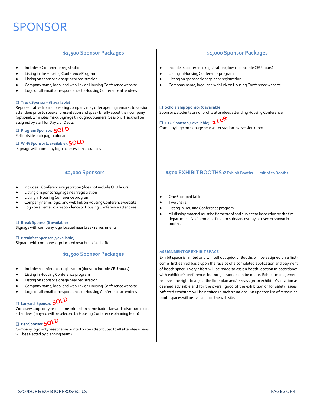# SPONSOR

### **\$2,500 Sponsor Packages**

- Includes 2 Conference registrations
- Listing in the Housing Conference Program
- Listing on sponsor signage near registration
- Company name, logo, and web link on Housing Conference website
- Logo on all email correspondence to Housing Conference attendees

#### □ **Track Sponsor – (8 available)**

Representative from sponsoring company may offer opening remarks to session attendees prior to speaker presentation and speak briefly about their company (optional; 2 minutes max). Signage throughout General Session. Track will be assigned by staff for Day 1 or Day 2.

### □ **ProgramSponsor. SOLD**

Full outside back page color ad.

### □ **Wi-FiSponsor(1 available). SOLD**

Signagewith company logo near session entrances

### **\$2,000 Sponsors**

- Includes 1 Conference registration (does not include CEU hours)
- Listing on sponsor signage near registration
- Listing in Housing Conference program
- Company name, logo, and web link on Housing Conference website
- Logo on all email correspondence to Housing Conference attendees

### □ **Break Sponsor(6 available)**

Signagewith company logo located near break refreshments

#### □ **Breakfast Sponsor(4available)**

Signage with company logo located near breakfast buffet

### **\$1,500 Sponsor Packages**

- Includes 1 conference registration (does not include CEU hours)
- Listing in Housing Conference program
- Listing on sponsor signage near registration
- Company name, logo, and web link on Housing Conference website
- Logo on all email correspondence to Housing Conference attendees

## □ **Lanyard Sponsor. SOLD**

Company Logo or typeset name printed on name badge lanyards distributed to all attendees (lanyard will be selected by Housing Conference planning team)

## □ **PenSponsor. SOLD**

Company logo ortypeset name printed on pen distributed to all attendees (pens will be selected by planning team)

### **\$1,000 Sponsor Packages**

- Includes 1 conference registration (does notincludeCEUhours)
- **•** Listing in Housing Conference program
- Listing onsponsor signage nearregistration
- Company name, logo, and web link on Housing Conference website

### □ **ScholarshipSponsor(5 available)**

Sponsor 4 students or nonprofits attendees attending Housing Conference

## □ **H2OSponsor(4available) 2 Left**Company logo on signage near water station in a session room.

### **\$500 EXHIBIT BOOTHS 6' Exhibit Booths – Limit of 20 Booths!**

- One 6' draped table
- Two chairs
- Listing in Housing Conference program
- All display material must be flameproof and subject to inspection by the fire department.No flammable fluidsor substancesmay be used or shown in booths.

### **ASSIGNMENTOFEXHIBITSPACE**

Exhibit space is limited and will sell out quickly. Booths will be assigned on a firstcome, first-served basis upon the receipt of a completed application and payment of booth space. Every effort will be made to assign booth location in accordance with exhibitor's preference, but no guarantee can be made. Exhibit management reserves the right to adjust the floor plan and/or reassign an exhibitor's location as deemed advisable and for the overall good of the exhibition or for safety issues. Affected exhibitors will be notified in such situations. An updated list of remaining booth spaces will be available on the web site.